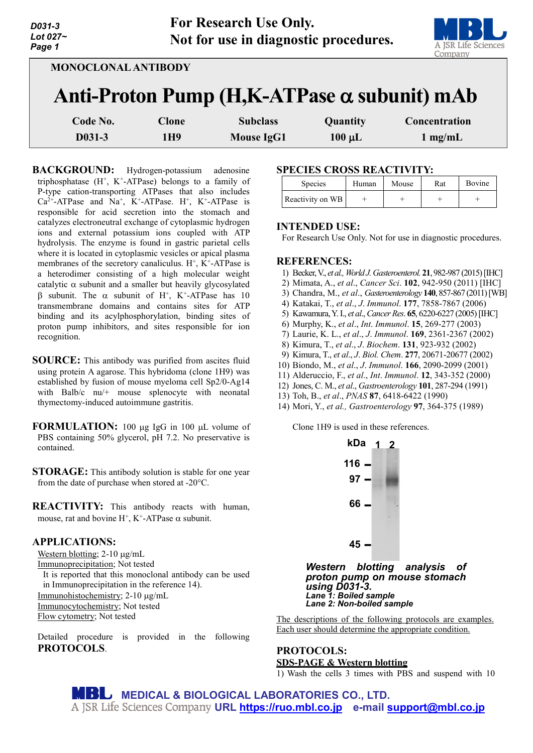| D031-3         | For Research Use Only.                |  |
|----------------|---------------------------------------|--|
| Lot 027 $\sim$ | Not for use in diagnostic procedures. |  |
| Page 1         |                                       |  |

| 1e i                       |              |                   |                                                                                                      | <b><i>AA JUAN LIANG DUNGARY</i></b><br>Company |
|----------------------------|--------------|-------------------|------------------------------------------------------------------------------------------------------|------------------------------------------------|
| <b>MONOCLONAL ANTIBODY</b> |              |                   |                                                                                                      |                                                |
|                            |              |                   | Anti-Proton Pump $(H,K-ATPase \alpha$ subunit) mAb<br>Concentration<br>Quantity<br>$1 \text{ mg/mL}$ |                                                |
| Code No.                   | <b>Clone</b> | <b>Subclass</b>   |                                                                                                      |                                                |
| D031-3                     | 1H9          | <b>Mouse IgG1</b> | $100 \mu L$                                                                                          |                                                |

**BACKGROUND:** Hydrogen-potassium adenosine triphosphatase  $(H^+, K^+$ -ATPase) belongs to a family of P-type cation-transporting ATPases that also includes  $Ca^{2+}$ -ATPase and  $Na^{+}$ ,  $K^{+}$ -ATPase. H<sup>+</sup>, K<sup>+</sup>-ATPase is responsible for acid secretion into the stomach and catalyzes electroneutral exchange of cytoplasmic hydrogen ions and external potassium ions coupled with ATP hydrolysis. The enzyme is found in gastric parietal cells where it is located in cytoplasmic vesicles or apical plasma membranes of the secretory canaliculus.  $H^+$ ,  $K^+$ -ATPase is a heterodimer consisting of a high molecular weight catalytic  $\alpha$  subunit and a smaller but heavily glycosylated β subunit. The α subunit of H+, K+-ATPase has 10 transmembrane domains and contains sites for ATP binding and its acylphosphorylation, binding sites of proton pump inhibitors, and sites responsible for ion recognition.

- **SOURCE:** This antibody was purified from ascites fluid using protein A agarose. This hybridoma (clone 1H9) was established by fusion of mouse myeloma cell Sp2/0-Ag14 with Balb/c nu/+ mouse splenocyte with neonatal thymectomy-induced autoimmune gastritis.
- **FORMULATION:** 100 µg IgG in 100 µL volume of PBS containing 50% glycerol, pH 7.2. No preservative is contained.
- **STORAGE:** This antibody solution is stable for one year from the date of purchase when stored at -20°C.
- **REACTIVITY:** This antibody reacts with human, mouse, rat and bovine H<sup>+</sup>, K<sup>+</sup>-ATPase  $\alpha$  subunit.

## **APPLICATIONS:**

Western blotting; 2-10  $\mu$ g/mL

Immunoprecipitation; Not tested

It is reported that this monoclonal antibody can be used in Immunoprecipitation in the reference 14).

Immunohistochemistry; 2-10 µg/mL

Immunocytochemistry; Not tested

Flow cytometry; Not tested

Detailed procedure is provided in the following **PROTOCOLS**.

## **SPECIES CROSS REACTIVITY:**

| <b>Species</b>   | Human | Mouse | Rat | <b>Bovine</b> |
|------------------|-------|-------|-----|---------------|
| Reactivity on WB |       |       |     |               |

## **INTENDED USE:**

For Research Use Only. Not for use in diagnostic procedures.

## **REFERENCES:**

- 1) Becker, V., *et al., World J. Gasteroenterol.* **21**, 982-987 (2015) [IHC]
- 2) Mimata, A., *et al*., *Cancer Sci*. **102**, 942-950 (2011) [IHC]
- 3) Chandra, M., *et al*., *Gasteroenterology* **140**, 857-867 (2011) [WB]
- 4) Katakai, T., *et al*., *J*. *Immunol*. **177**, 7858-7867 (2006)
- 5) Kawamura, Y. I., *et al*., *CancerRes*. **65**, 6220-6227 (2005)[IHC]
- 6) Murphy, K., *et al*., *Int*. *Immunol*. **15**, 269-277 (2003)
- 7) Laurie, K. L., *et al*., *J*. *Immunol*. **169**, 2361-2367 (2002)
- 8) Kimura, T., *et al*., *J*. *Biochem*. **131**, 923-932 (2002)
- 9) Kimura, T., *et al*., *J*. *Biol. Chem*. **277**, 20671-20677 (2002)
- 10) Biondo, M., *et al*., *J*. *Immunol*. **166**, 2090-2099 (2001)
- 11) Alderuccio, F., *et al*., *Int*. *Immunol*. **12**, 343-352 (2000)
- 12) Jones, C. M., *et al*., *Gastroenterology* **101**, 287-294 (1991)
- 13) Toh, B., *et al*., *PNAS* **87**, 6418-6422 (1990)
- 14) Mori, Y., *et al., Gastroenterology* **97**, 364-375 (1989)

Clone 1H9 is used in these references.



*Western blotting analysis of proton pump on mouse stomach*  $Lane$  **7:** Boiled sample *Lane 2: Non-boiled sample*

The descriptions of the following protocols are examples. Each user should determine the appropriate condition.

# **PROTOCOLS: SDS-PAGE & Western blotting**

1) Wash the cells 3 times with PBS and suspend with 10

**MEDICAL & BIOLOGICAL LABORATORIES CO., LTD. URL [https://ruo.mbl.co.jp](https://ruo.mbl.co.jp/) e-mail [support@mbl.co.jp](mailto:support@mbl.co.jp)**